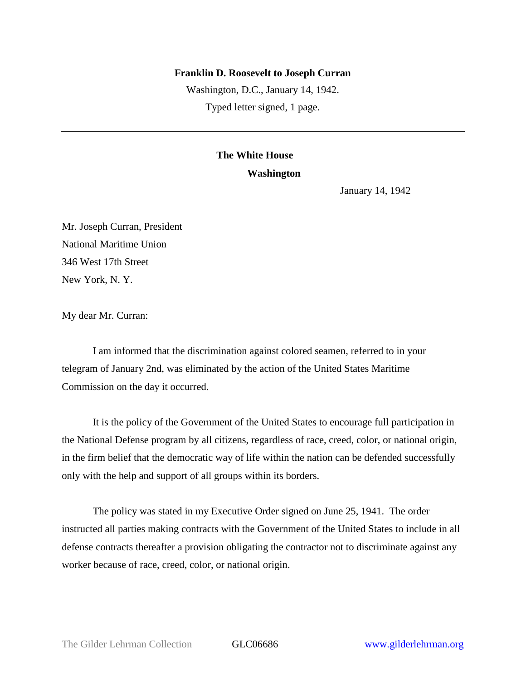## **Franklin D. Roosevelt to Joseph Curran**

Washington, D.C., January 14, 1942. Typed letter signed, 1 page.

## **The White House**

## **Washington**

January 14, 1942

Mr. Joseph Curran, President National Maritime Union 346 West 17th Street New York, N. Y.

My dear Mr. Curran:

I am informed that the discrimination against colored seamen, referred to in your telegram of January 2nd, was eliminated by the action of the United States Maritime Commission on the day it occurred.

It is the policy of the Government of the United States to encourage full participation in the National Defense program by all citizens, regardless of race, creed, color, or national origin, in the firm belief that the democratic way of life within the nation can be defended successfully only with the help and support of all groups within its borders.

The policy was stated in my Executive Order signed on June 25, 1941. The order instructed all parties making contracts with the Government of the United States to include in all defense contracts thereafter a provision obligating the contractor not to discriminate against any worker because of race, creed, color, or national origin.